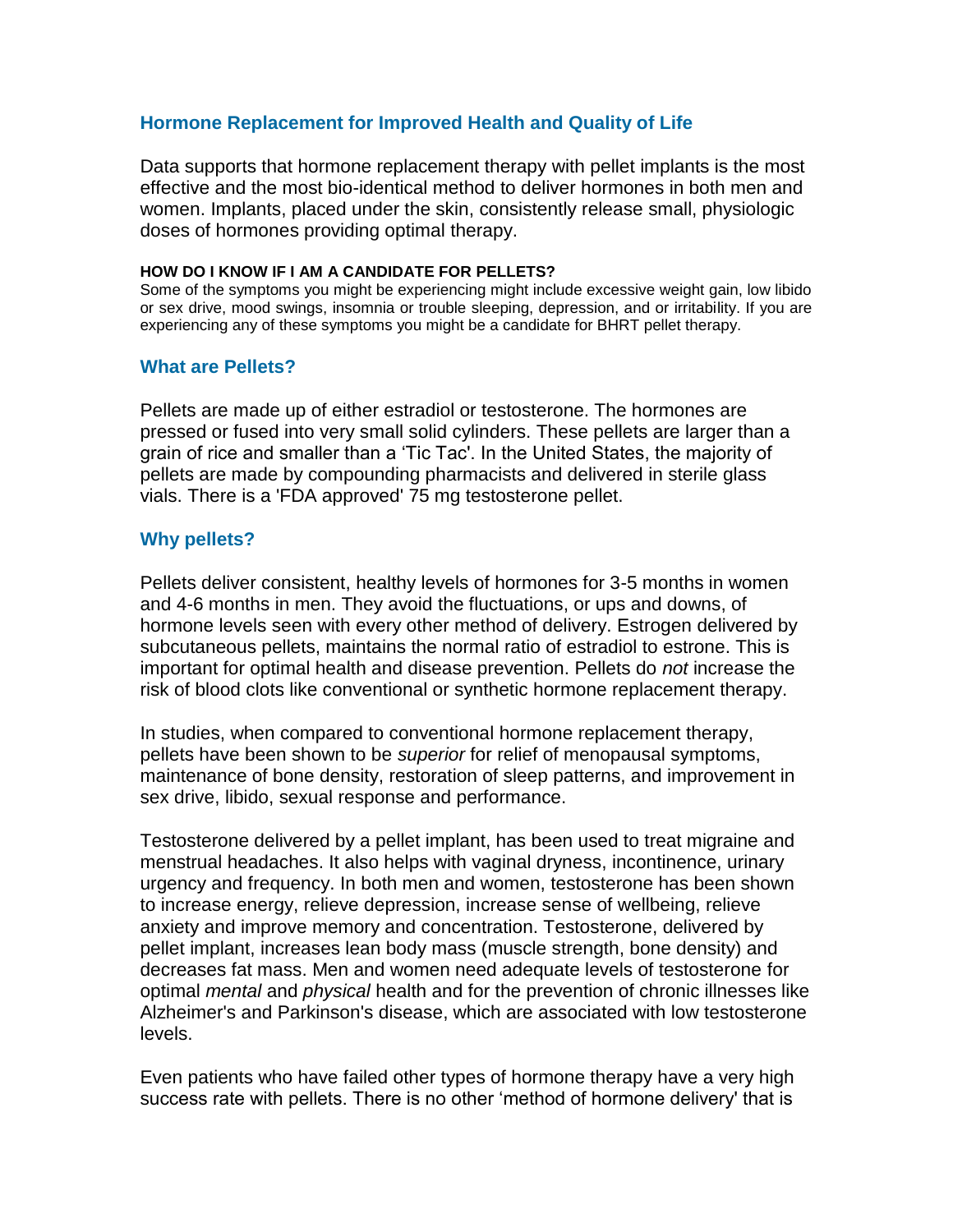# **Hormone Replacement for Improved Health and Quality of Life**

Data supports that hormone replacement therapy with pellet implants is the most effective and the most bio-identical method to deliver hormones in both men and women. Implants, placed under the skin, consistently release small, physiologic doses of hormones providing optimal therapy.

### **HOW DO I KNOW IF I AM A CANDIDATE FOR PELLETS?**

Some of the symptoms you might be experiencing might include excessive weight gain, low libido or sex drive, mood swings, insomnia or trouble sleeping, depression, and or irritability. If you are experiencing any of these symptoms you might be a candidate for BHRT pellet therapy.

# **What are Pellets?**

Pellets are made up of either estradiol or testosterone. The hormones are pressed or fused into very small solid cylinders. These pellets are larger than a grain of rice and smaller than a 'Tic Tac'. In the United States, the majority of pellets are made by compounding pharmacists and delivered in sterile glass vials. There is a 'FDA approved' 75 mg testosterone pellet.

# **Why pellets?**

Pellets deliver consistent, healthy levels of hormones for 3-5 months in women and 4-6 months in men. They avoid the fluctuations, or ups and downs, of hormone levels seen with every other method of delivery. Estrogen delivered by subcutaneous pellets, maintains the normal ratio of estradiol to estrone. This is important for optimal health and disease prevention. Pellets do *not* increase the risk of blood clots like conventional or synthetic hormone replacement therapy.

In studies, when compared to conventional hormone replacement therapy, pellets have been shown to be *superior* for relief of menopausal symptoms, maintenance of bone density, restoration of sleep patterns, and improvement in sex drive, libido, sexual response and performance.

Testosterone delivered by a pellet implant, has been used to treat migraine and menstrual headaches. It also helps with vaginal dryness, incontinence, urinary urgency and frequency. In both men and women, testosterone has been shown to increase energy, relieve depression, increase sense of wellbeing, relieve anxiety and improve memory and concentration. Testosterone, delivered by pellet implant, increases lean body mass (muscle strength, bone density) and decreases fat mass. Men and women need adequate levels of testosterone for optimal *mental* and *physical* health and for the prevention of chronic illnesses like Alzheimer's and Parkinson's disease, which are associated with low testosterone levels.

Even patients who have failed other types of hormone therapy have a very high success rate with pellets. There is no other 'method of hormone delivery' that is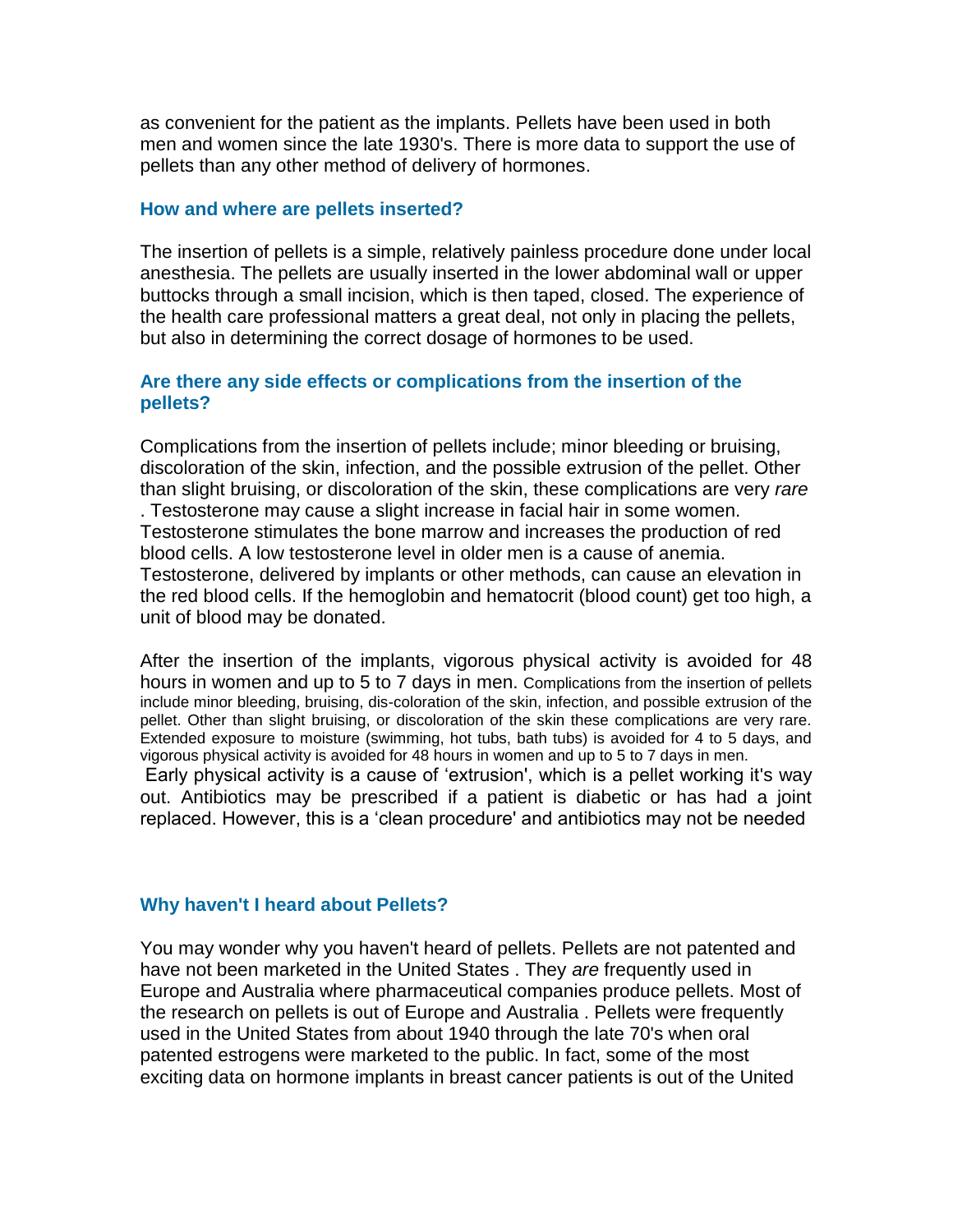as convenient for the patient as the implants. Pellets have been used in both men and women since the late 1930's. There is more data to support the use of pellets than any other method of delivery of hormones.

### **How and where are pellets inserted?**

The insertion of pellets is a simple, relatively painless procedure done under local anesthesia. The pellets are usually inserted in the lower abdominal wall or upper buttocks through a small incision, which is then taped, closed. The experience of the health care professional matters a great deal, not only in placing the pellets, but also in determining the correct dosage of hormones to be used.

## **Are there any side effects or complications from the insertion of the pellets?**

Complications from the insertion of pellets include; minor bleeding or bruising, discoloration of the skin, infection, and the possible extrusion of the pellet. Other than slight bruising, or discoloration of the skin, these complications are very *rare*  . Testosterone may cause a slight increase in facial hair in some women. Testosterone stimulates the bone marrow and increases the production of red blood cells. A low testosterone level in older men is a cause of anemia. Testosterone, delivered by implants or other methods, can cause an elevation in the red blood cells. If the hemoglobin and hematocrit (blood count) get too high, a unit of blood may be donated.

After the insertion of the implants, vigorous physical activity is avoided for 48 hours in women and up to 5 to 7 days in men. Complications from the insertion of pellets include minor bleeding, bruising, dis-coloration of the skin, infection, and possible extrusion of the pellet. Other than slight bruising, or discoloration of the skin these complications are very rare. Extended exposure to moisture (swimming, hot tubs, bath tubs) is avoided for 4 to 5 days, and vigorous physical activity is avoided for 48 hours in women and up to 5 to 7 days in men. Early physical activity is a cause of 'extrusion', which is a pellet working it's way

out. Antibiotics may be prescribed if a patient is diabetic or has had a joint replaced. However, this is a 'clean procedure' and antibiotics may not be needed

# **Why haven't I heard about Pellets?**

You may wonder why you haven't heard of pellets. Pellets are not patented and have not been marketed in the United States . They *are* frequently used in Europe and Australia where pharmaceutical companies produce pellets. Most of the research on pellets is out of Europe and Australia . Pellets were frequently used in the United States from about 1940 through the late 70's when oral patented estrogens were marketed to the public. In fact, some of the most exciting data on hormone implants in breast cancer patients is out of the United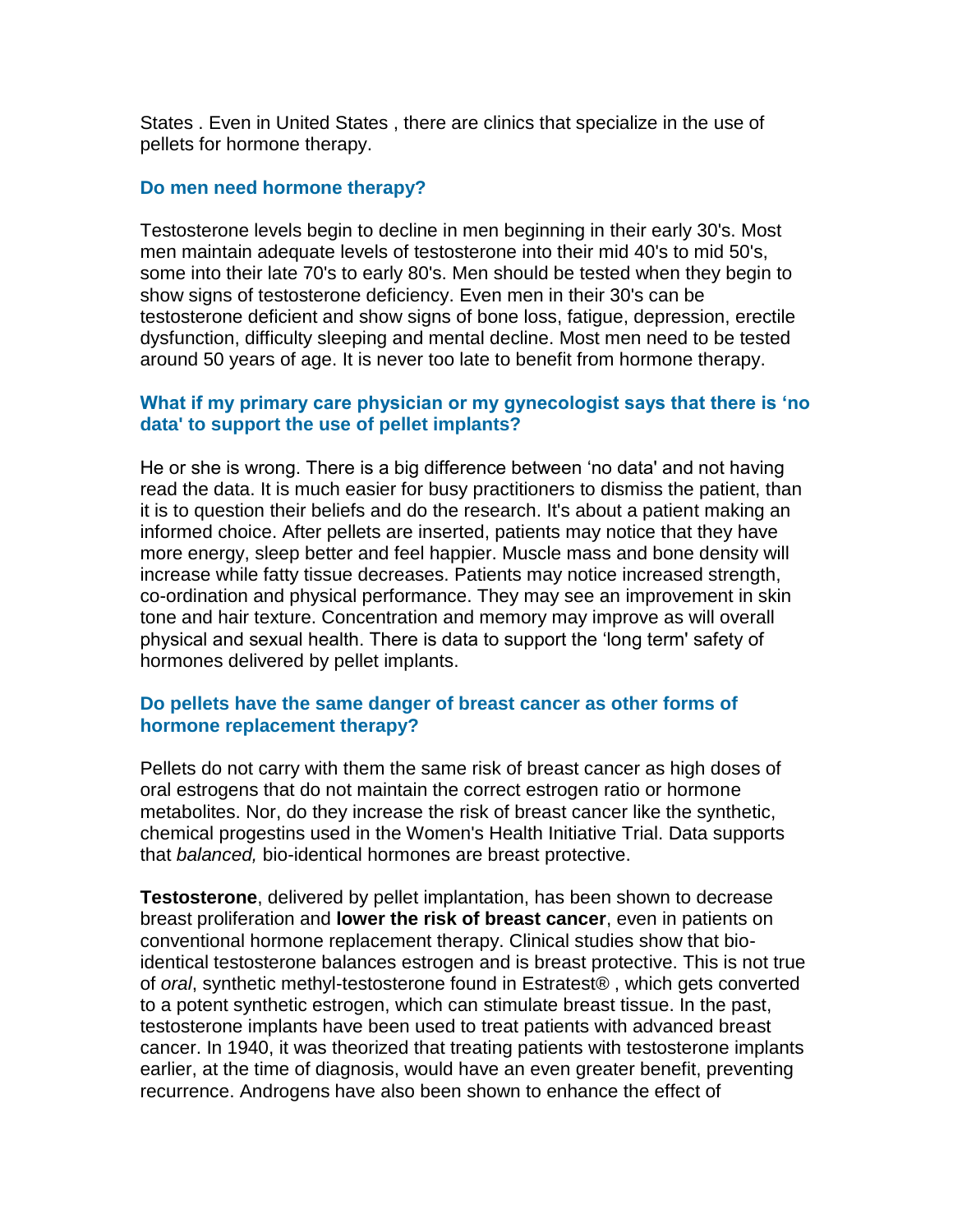States . Even in United States , there are clinics that specialize in the use of pellets for hormone therapy.

## **Do men need hormone therapy?**

Testosterone levels begin to decline in men beginning in their early 30's. Most men maintain adequate levels of testosterone into their mid 40's to mid 50's, some into their late 70's to early 80's. Men should be tested when they begin to show signs of testosterone deficiency. Even men in their 30's can be testosterone deficient and show signs of bone loss, fatigue, depression, erectile dysfunction, difficulty sleeping and mental decline. Most men need to be tested around 50 years of age. It is never too late to benefit from hormone therapy.

## **What if my primary care physician or my gynecologist says that there is 'no data' to support the use of pellet implants?**

He or she is wrong. There is a big difference between 'no data' and not having read the data. It is much easier for busy practitioners to dismiss the patient, than it is to question their beliefs and do the research. It's about a patient making an informed choice. After pellets are inserted, patients may notice that they have more energy, sleep better and feel happier. Muscle mass and bone density will increase while fatty tissue decreases. Patients may notice increased strength, co-ordination and physical performance. They may see an improvement in skin tone and hair texture. Concentration and memory may improve as will overall physical and sexual health. There is data to support the 'long term' safety of hormones delivered by pellet implants.

# **Do pellets have the same danger of breast cancer as other forms of hormone replacement therapy?**

Pellets do not carry with them the same risk of breast cancer as high doses of oral estrogens that do not maintain the correct estrogen ratio or hormone metabolites. Nor, do they increase the risk of breast cancer like the synthetic, chemical progestins used in the Women's Health Initiative Trial. Data supports that *balanced,* bio-identical hormones are breast protective.

**Testosterone**, delivered by pellet implantation, has been shown to decrease breast proliferation and **lower the risk of breast cancer**, even in patients on conventional hormone replacement therapy. Clinical studies show that bioidentical testosterone balances estrogen and is breast protective. This is not true of *oral*, synthetic methyl-testosterone found in Estratest® , which gets converted to a potent synthetic estrogen, which can stimulate breast tissue. In the past, testosterone implants have been used to treat patients with advanced breast cancer. In 1940, it was theorized that treating patients with testosterone implants earlier, at the time of diagnosis, would have an even greater benefit, preventing recurrence. Androgens have also been shown to enhance the effect of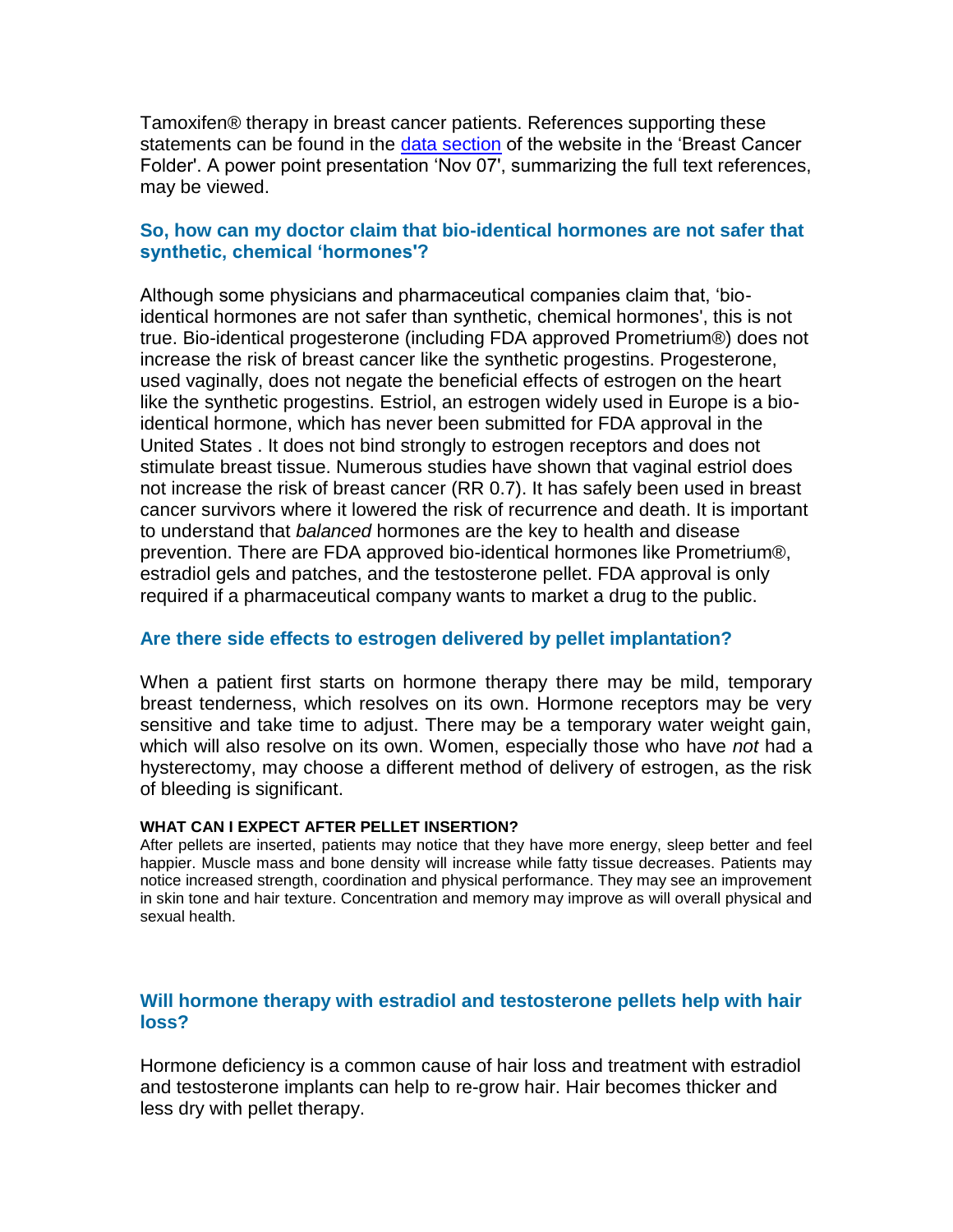Tamoxifen® therapy in breast cancer patients. References supporting these statements can be found in the [data section](http://hormonebalance.org/login.asp) of the website in the 'Breast Cancer Folder'. A power point presentation 'Nov 07', summarizing the full text references, may be viewed.

# **So, how can my doctor claim that bio-identical hormones are not safer that synthetic, chemical 'hormones'?**

Although some physicians and pharmaceutical companies claim that, 'bioidentical hormones are not safer than synthetic, chemical hormones', this is not true. Bio-identical progesterone (including FDA approved Prometrium®) does not increase the risk of breast cancer like the synthetic progestins. Progesterone, used vaginally, does not negate the beneficial effects of estrogen on the heart like the synthetic progestins. Estriol, an estrogen widely used in Europe is a bioidentical hormone, which has never been submitted for FDA approval in the United States . It does not bind strongly to estrogen receptors and does not stimulate breast tissue. Numerous studies have shown that vaginal estriol does not increase the risk of breast cancer (RR 0.7). It has safely been used in breast cancer survivors where it lowered the risk of recurrence and death. It is important to understand that *balanced* hormones are the key to health and disease prevention. There are FDA approved bio-identical hormones like Prometrium®, estradiol gels and patches, and the testosterone pellet. FDA approval is only required if a pharmaceutical company wants to market a drug to the public.

## **Are there side effects to estrogen delivered by pellet implantation?**

When a patient first starts on hormone therapy there may be mild, temporary breast tenderness, which resolves on its own. Hormone receptors may be very sensitive and take time to adjust. There may be a temporary water weight gain, which will also resolve on its own. Women, especially those who have *not* had a hysterectomy, may choose a different method of delivery of estrogen, as the risk of bleeding is significant.

#### **WHAT CAN I EXPECT AFTER PELLET INSERTION?**

After pellets are inserted, patients may notice that they have more energy, sleep better and feel happier. Muscle mass and bone density will increase while fatty tissue decreases. Patients may notice increased strength, coordination and physical performance. They may see an improvement in skin tone and hair texture. Concentration and memory may improve as will overall physical and sexual health.

## **Will hormone therapy with estradiol and testosterone pellets help with hair loss?**

Hormone deficiency is a common cause of hair loss and treatment with estradiol and testosterone implants can help to re-grow hair. Hair becomes thicker and less dry with pellet therapy.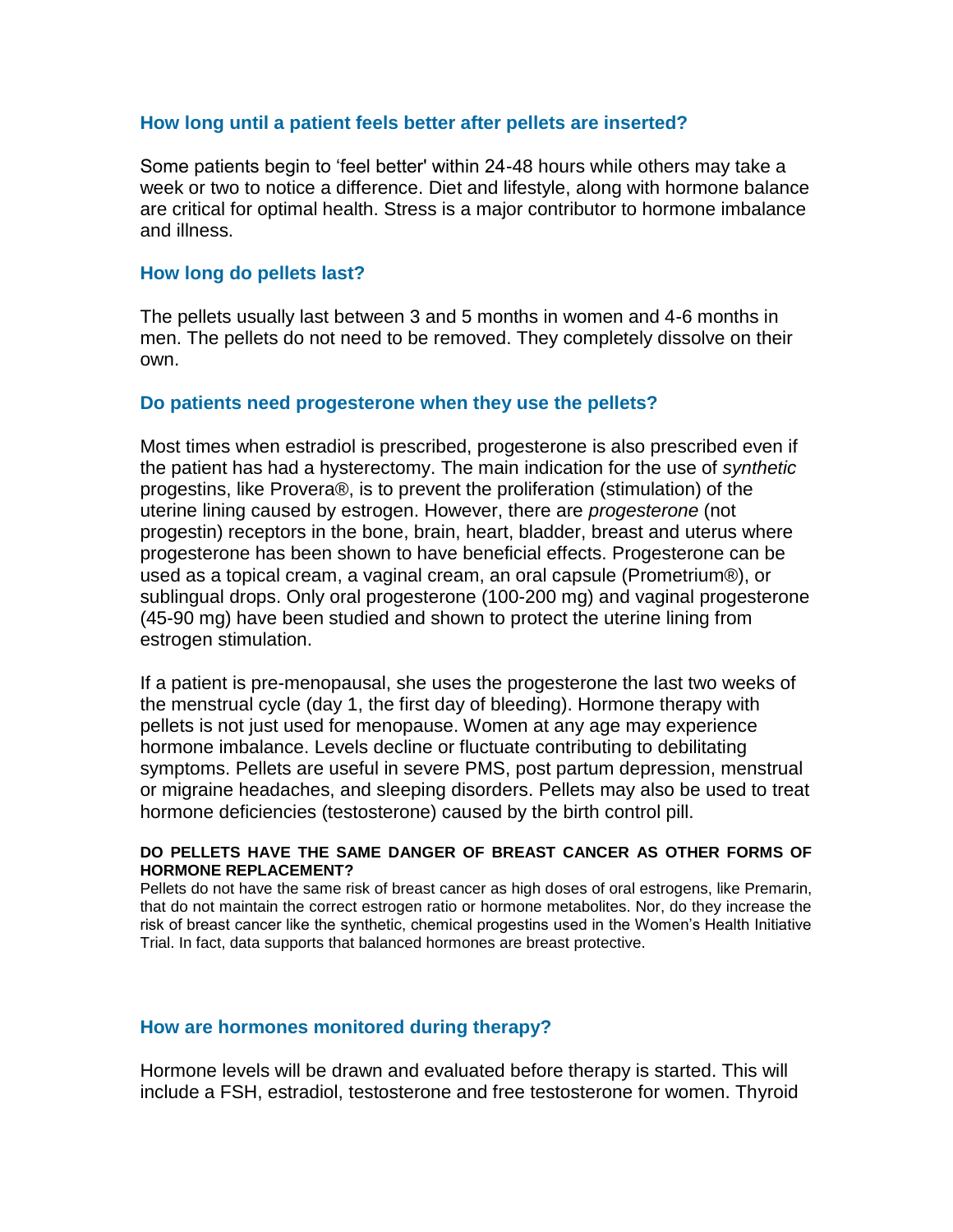## **How long until a patient feels better after pellets are inserted?**

Some patients begin to 'feel better' within 24-48 hours while others may take a week or two to notice a difference. Diet and lifestyle, along with hormone balance are critical for optimal health. Stress is a major contributor to hormone imbalance and illness.

## **How long do pellets last?**

The pellets usually last between 3 and 5 months in women and 4-6 months in men. The pellets do not need to be removed. They completely dissolve on their own.

### **Do patients need progesterone when they use the pellets?**

Most times when estradiol is prescribed, progesterone is also prescribed even if the patient has had a hysterectomy. The main indication for the use of *synthetic*  progestins, like Provera®, is to prevent the proliferation (stimulation) of the uterine lining caused by estrogen. However, there are *progesterone* (not progestin) receptors in the bone, brain, heart, bladder, breast and uterus where progesterone has been shown to have beneficial effects. Progesterone can be used as a topical cream, a vaginal cream, an oral capsule (Prometrium®), or sublingual drops. Only oral progesterone (100-200 mg) and vaginal progesterone (45-90 mg) have been studied and shown to protect the uterine lining from estrogen stimulation.

If a patient is pre-menopausal, she uses the progesterone the last two weeks of the menstrual cycle (day 1, the first day of bleeding). Hormone therapy with pellets is not just used for menopause. Women at any age may experience hormone imbalance. Levels decline or fluctuate contributing to debilitating symptoms. Pellets are useful in severe PMS, post partum depression, menstrual or migraine headaches, and sleeping disorders. Pellets may also be used to treat hormone deficiencies (testosterone) caused by the birth control pill.

#### **DO PELLETS HAVE THE SAME DANGER OF BREAST CANCER AS OTHER FORMS OF HORMONE REPLACEMENT?**

Pellets do not have the same risk of breast cancer as high doses of oral estrogens, like Premarin, that do not maintain the correct estrogen ratio or hormone metabolites. Nor, do they increase the risk of breast cancer like the synthetic, chemical progestins used in the Women's Health Initiative Trial. In fact, data supports that balanced hormones are breast protective.

## **How are hormones monitored during therapy?**

Hormone levels will be drawn and evaluated before therapy is started. This will include a FSH, estradiol, testosterone and free testosterone for women. Thyroid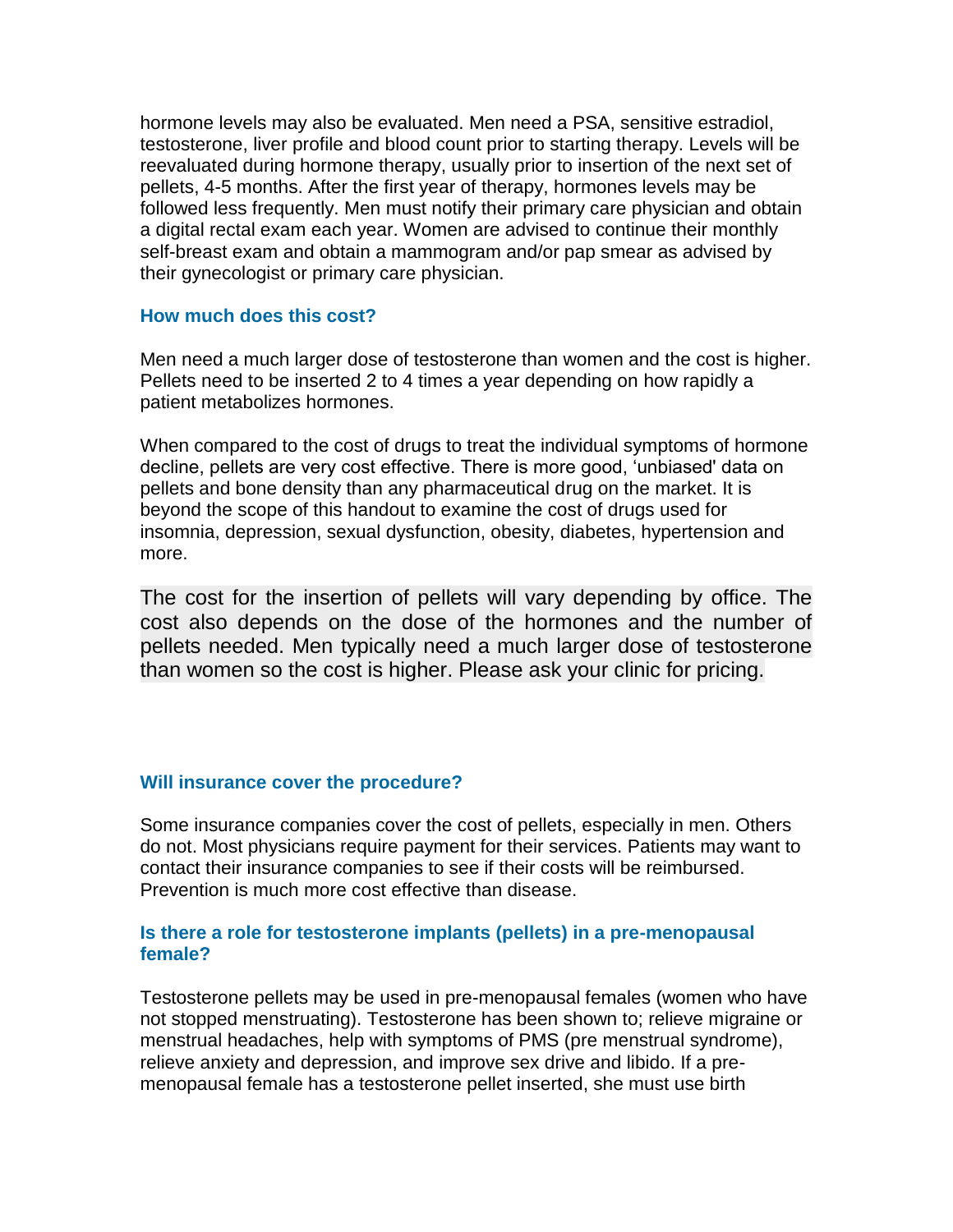hormone levels may also be evaluated. Men need a PSA, sensitive estradiol, testosterone, liver profile and blood count prior to starting therapy. Levels will be reevaluated during hormone therapy, usually prior to insertion of the next set of pellets, 4-5 months. After the first year of therapy, hormones levels may be followed less frequently. Men must notify their primary care physician and obtain a digital rectal exam each year. Women are advised to continue their monthly self-breast exam and obtain a mammogram and/or pap smear as advised by their gynecologist or primary care physician.

### **How much does this cost?**

Men need a much larger dose of testosterone than women and the cost is higher. Pellets need to be inserted 2 to 4 times a year depending on how rapidly a patient metabolizes hormones.

When compared to the cost of drugs to treat the individual symptoms of hormone decline, pellets are very cost effective. There is more good, 'unbiased' data on pellets and bone density than any pharmaceutical drug on the market. It is beyond the scope of this handout to examine the cost of drugs used for insomnia, depression, sexual dysfunction, obesity, diabetes, hypertension and more.

The cost for the insertion of pellets will vary depending by office. The cost also depends on the dose of the hormones and the number of pellets needed. Men typically need a much larger dose of testosterone than women so the cost is higher. Please ask your clinic for pricing.

# **Will insurance cover the procedure?**

Some insurance companies cover the cost of pellets, especially in men. Others do not. Most physicians require payment for their services. Patients may want to contact their insurance companies to see if their costs will be reimbursed. Prevention is much more cost effective than disease.

# **Is there a role for testosterone implants (pellets) in a pre-menopausal female?**

Testosterone pellets may be used in pre-menopausal females (women who have not stopped menstruating). Testosterone has been shown to; relieve migraine or menstrual headaches, help with symptoms of PMS (pre menstrual syndrome), relieve anxiety and depression, and improve sex drive and libido. If a premenopausal female has a testosterone pellet inserted, she must use birth